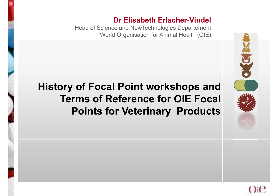#### **Dr Elisabeth Erlacher-Vindel**

Head of Science and NewTechnologies Departement World Organisation for Animal Health (OIE)

#### **History of Focal Point workshops and Terms of Reference for OIE Focal Points for Veterinary Products**



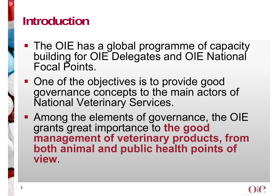### **Introduction**

- **The OIE has a global programme of capacity** building for OIE Delegates and OIE National Focal Points.
- **One of the objectives is to provide good** governance concepts to the main actors of National Veterinary Services.
- **Among the elements of governance, the OIE** grants great importance to **the good management of veterinary products, from both animal and public health points of view**.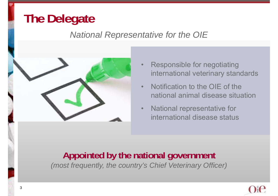## **The Delegate**

#### *National Representative for the OIE*



- • Responsible for negotiating international veterinary standards
- • Notification to the OIE of the national animal disease situation
- • National representative for international disease status

#### **Appointed by the national government**

*(most frequently, the country's Chief Veterinary Officer)*

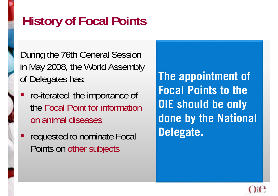# **History of Focal Points**

During the 76th General Session in May 2008, the World Assembly of Delegates has:

- T re-iterated the importance of the Focal Point for information on animal diseases
- Τ requested to nominate Focal Points on other subjects

**The appointment of Focal Points to the OIE should be only done by the National Delegate.**

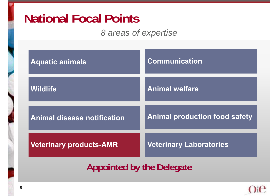#### **National Focal Points**

#### *8 areas of expertise*

| <b>Aquatic animals</b>             | <b>Communication</b>                 |
|------------------------------------|--------------------------------------|
| <b>Wildlife</b>                    | <b>Animal welfare</b>                |
| <b>Animal disease notification</b> | <b>Animal production food safety</b> |
| <b>Veterinary products-AMR</b>     | <b>Veterinary Laboratories</b>       |
| <b>Appointed by the Delegate</b>   |                                      |

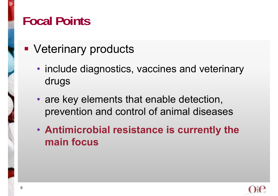### **Focal Points**

- **Veterinary products** 
	- include diagnostics, vaccines and veterinary drugs
	- are key elements that enable detection, prevention and control of animal diseases
	- **Antimicrobial resistance is currently the main focus**

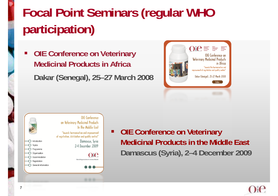# **Focal Point Seminars (regular WHO participation)**

 **OIE Conference on Veterinary Medicinal Products in AfricaDakar (Senegal), 25–27 March 2008**





 $\blacksquare$  **OIE Conference on Veterinary Medicinal Products in the Middle East Damascus (Syria), 2–4 December 2009**

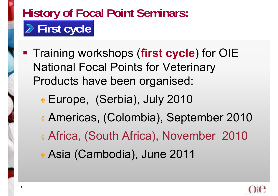# **History of Focal Point Seminars: First cycle**

- **Training workshops (first cycle)** for OIE National Focal Points for Veterinary Products have been organised:
	- + Europe, (Serbia), July 2010 Americas, (Colombia), September 2010 + Africa, (South Africa), November 2010 + Asia (Cambodia), June 2011

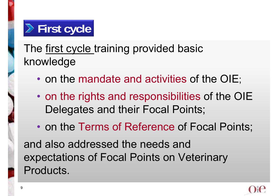# **First cycle**

#### The first cycle training provided basic knowledge

- •• on the mandate and activities of the OIE;
- $\bullet$ • on the rights and responsibilities of the OIE Delegates and their Focal Points;
- $\bullet$ • on the Terms of Reference of Focal Points; and also addressed the needs and expectations of Focal Points on Veterinary Products.

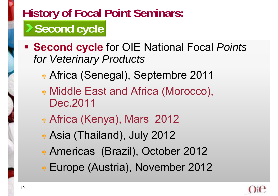# **History of Focal Point Seminars: Second cycle**

- **Second cycle** for OIE National Focal *Points for Veterinary Products*
	- + Africa (Senegal), Septembre 2011
	- Middle East and Africa (Morocco), Dec.2011
	- Africa (Kenya), Mars 2012
	- Asia (Thailand), July 2012
	- Americas (Brazil), October 2012
	- Europe (Austria), November 2012

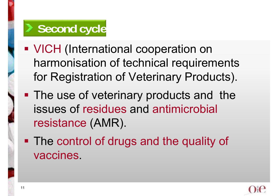### **Second cycle**

- **VICH (International cooperation on** harmonisation of technical requirements for Registration of Veterinary Products).
- **The use of veterinary products and the** issues of residues and antimicrobial resistance (AMR).
- **The control of drugs and the quality of** vaccines.

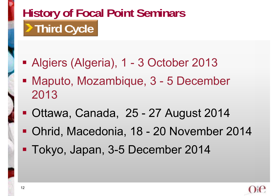# **History of Focal Point Seminars Third Cycle**

- Algiers (Algeria), 1 3 October 2013
- Maputo, Mozambique, 3 5 December 2013
- Ottawa, Canada, 25 - 27 August 2014
- T Ohrid, Macedonia, 18 - 20 November 2014
- Tokyo, Japan, 3-5 December 2014

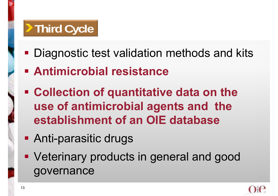# **Third Cycle**

- **Diagnostic test validation methods and kits**
- **Antimicrobial resistance**
- **Collection of quantitative data on the use of antimicrobial agents and the establishment of an OIE database**
- Anti-parasitic drugs
- **Veterinary products in general and good** governance

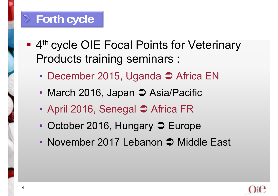#### **Forth cycle**

- **4th cycle OIE Focal Points for Veterinary** Products training seminars :
	- December 2015, Uganda  $\supset$  Africa EN
	- March 2016, Japan  $\supset$  Asia/Pacific
	- April 2016, Senegal  $\supset$  Africa FR
	- October 2016, Hungary  $\supset$  Europe
	- November 2017 Lebanon  $\supset$  Middle East

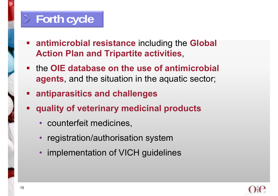#### **Forth cycle**

- **antimicrobial resistance** including the **Global Action Plan and Tripartite activities**,
- the **OIE database on the use of antimicrobial agents**, and the situation in the aquatic sector;
- **antiparasitics and challenges**
- **quality of veterinary medicinal products** 
	- counterfeit medicines,
	- registration/authorisation system
	- implementation of VICH guidelines

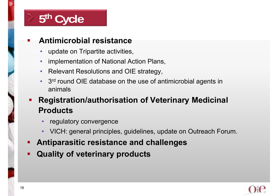

#### **Antimicrobial resistance**

- •update on Tripartite activities,
- •implementation of National Action Plans,
- Relevant Resolutions and OIE strategy,
- 3<sup>rd</sup> round OIE database on the use of antimicrobial agents in animals
- Ξ **Registration/authorisation of Veterinary Medicinal Products**
	- regulatory convergence
	- VICH: general principles, guidelines, update on Outreach Forum.
- Τ **Antiparasitic resistance and challenges**
- Τ **Quality of veterinary products**

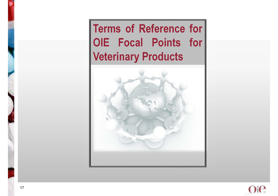**Terms of Reference for OIE Focal Points for Veterinary Products**



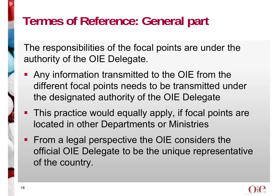## **Termes of Reference: General part**

The responsibilities of the focal points are under the authority of the OIE Delegate.

- **Any information transmitted to the OIE from the** different focal points needs to be transmitted under the designated authority of the OIE Delegate
- **This practice would equally apply, if focal points are** located in other Departments or Ministries
- **From a legal perspective the OIE considers the** official OIE Delegate to be the unique representative of the country.

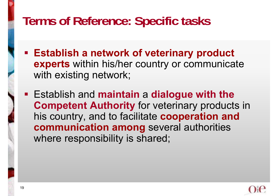### **Terms of Reference: Specific tasks**

- **Establish a network of veterinary product experts** within his/her country or communicate with existing network;
- Establish and **maintain** a **dialogue with the Competent Authority** for veterinary products in his country, and to facilitate **cooperation and communication among** several authorities where responsibility is shared;

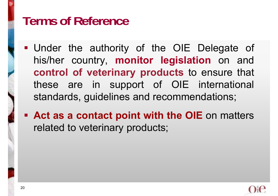#### **Terms of Reference**

- Under the authority of the OIE Delegate of his/her country, **monitor legislation** on and **control of veterinary products** to ensure that these are in support of OIE international standards, guidelines and recommendations;
- **Act as <sup>a</sup> contact point with the OIE** on matters related to veterinary products;

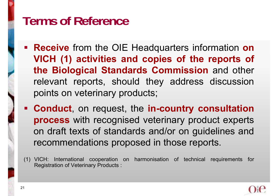### **Terms of Reference**

- **Receive** from the OIE Headquarters information **on VICH (1) activities and copies of the reports of the Biological Standards Commission** and other relevant reports, should they address discussion points on veterinary products;
- **Conduct**, on request, the **in-country consultation process** with recognised veterinary product experts on draft texts of standards and/or on guidelines and recommendations proposed in those reports.
- (1) VICH: International cooperation on harmonisation of technical requirements for Registration of Veterinary Products :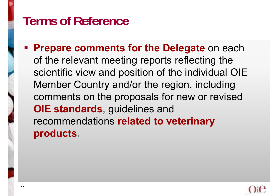### **Terms of Reference**

 **Prepare comments for the Delegate** on each of the relevant meeting reports reflecting the scientific view and position of the individual OIE Member Country and/or the region, including comments on the proposals for new or revised **OIE standards, guidelines and** recommendations **related to veterinary products.**

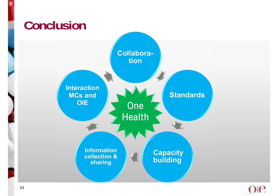